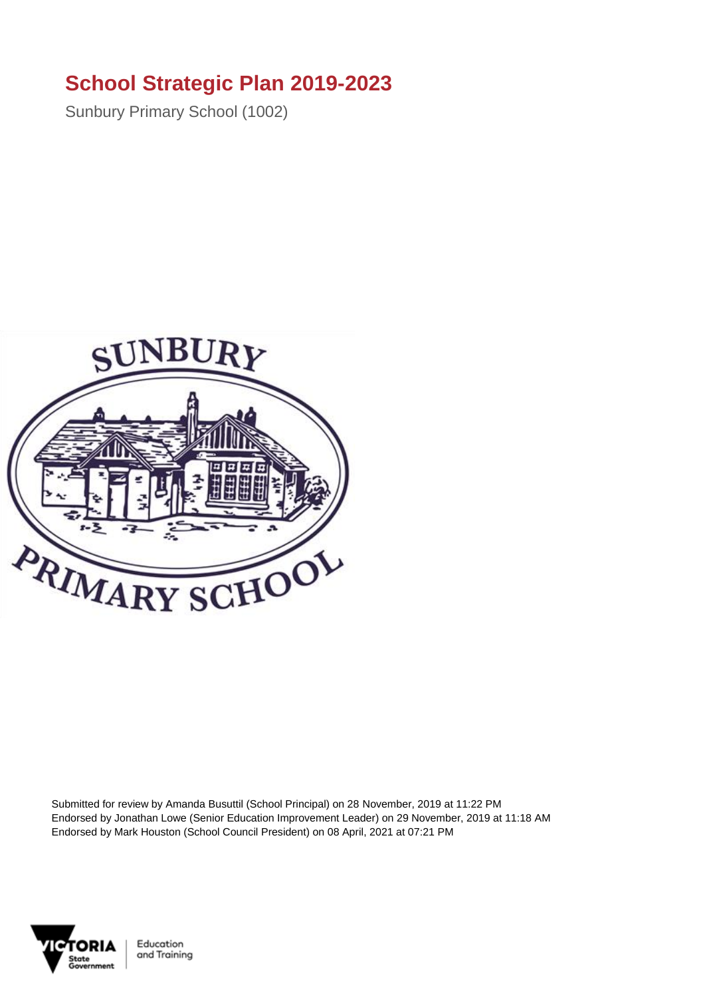## **School Strategic Plan 2019-2023**

Sunbury Primary School (1002)



Submitted for review by Amanda Busuttil (School Principal) on 28 November, 2019 at 11:22 PM Endorsed by Jonathan Lowe (Senior Education Improvement Leader) on 29 November, 2019 at 11:18 AM Endorsed by Mark Houston (School Council President) on 08 April, 2021 at 07:21 PM



Education and Training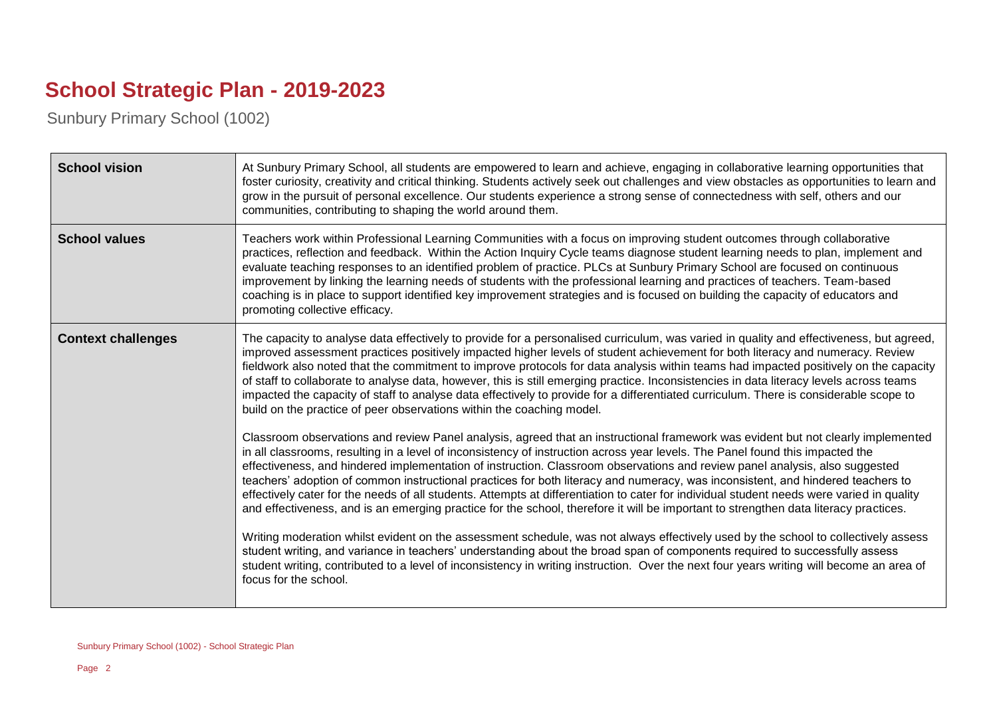## **School Strategic Plan - 2019-2023**

Sunbury Primary School (1002)

| <b>School vision</b>      | At Sunbury Primary School, all students are empowered to learn and achieve, engaging in collaborative learning opportunities that<br>foster curiosity, creativity and critical thinking. Students actively seek out challenges and view obstacles as opportunities to learn and<br>grow in the pursuit of personal excellence. Our students experience a strong sense of connectedness with self, others and our<br>communities, contributing to shaping the world around them.                                                                                                                                                                                                                                                                                                                                          |
|---------------------------|--------------------------------------------------------------------------------------------------------------------------------------------------------------------------------------------------------------------------------------------------------------------------------------------------------------------------------------------------------------------------------------------------------------------------------------------------------------------------------------------------------------------------------------------------------------------------------------------------------------------------------------------------------------------------------------------------------------------------------------------------------------------------------------------------------------------------|
| <b>School values</b>      | Teachers work within Professional Learning Communities with a focus on improving student outcomes through collaborative<br>practices, reflection and feedback. Within the Action Inquiry Cycle teams diagnose student learning needs to plan, implement and<br>evaluate teaching responses to an identified problem of practice. PLCs at Sunbury Primary School are focused on continuous<br>improvement by linking the learning needs of students with the professional learning and practices of teachers. Team-based<br>coaching is in place to support identified key improvement strategies and is focused on building the capacity of educators and<br>promoting collective efficacy.                                                                                                                              |
| <b>Context challenges</b> | The capacity to analyse data effectively to provide for a personalised curriculum, was varied in quality and effectiveness, but agreed,<br>improved assessment practices positively impacted higher levels of student achievement for both literacy and numeracy. Review<br>fieldwork also noted that the commitment to improve protocols for data analysis within teams had impacted positively on the capacity<br>of staff to collaborate to analyse data, however, this is still emerging practice. Inconsistencies in data literacy levels across teams<br>impacted the capacity of staff to analyse data effectively to provide for a differentiated curriculum. There is considerable scope to<br>build on the practice of peer observations within the coaching model.                                            |
|                           | Classroom observations and review Panel analysis, agreed that an instructional framework was evident but not clearly implemented<br>in all classrooms, resulting in a level of inconsistency of instruction across year levels. The Panel found this impacted the<br>effectiveness, and hindered implementation of instruction. Classroom observations and review panel analysis, also suggested<br>teachers' adoption of common instructional practices for both literacy and numeracy, was inconsistent, and hindered teachers to<br>effectively cater for the needs of all students. Attempts at differentiation to cater for individual student needs were varied in quality<br>and effectiveness, and is an emerging practice for the school, therefore it will be important to strengthen data literacy practices. |
|                           | Writing moderation whilst evident on the assessment schedule, was not always effectively used by the school to collectively assess<br>student writing, and variance in teachers' understanding about the broad span of components required to successfully assess<br>student writing, contributed to a level of inconsistency in writing instruction. Over the next four years writing will become an area of<br>focus for the school.                                                                                                                                                                                                                                                                                                                                                                                   |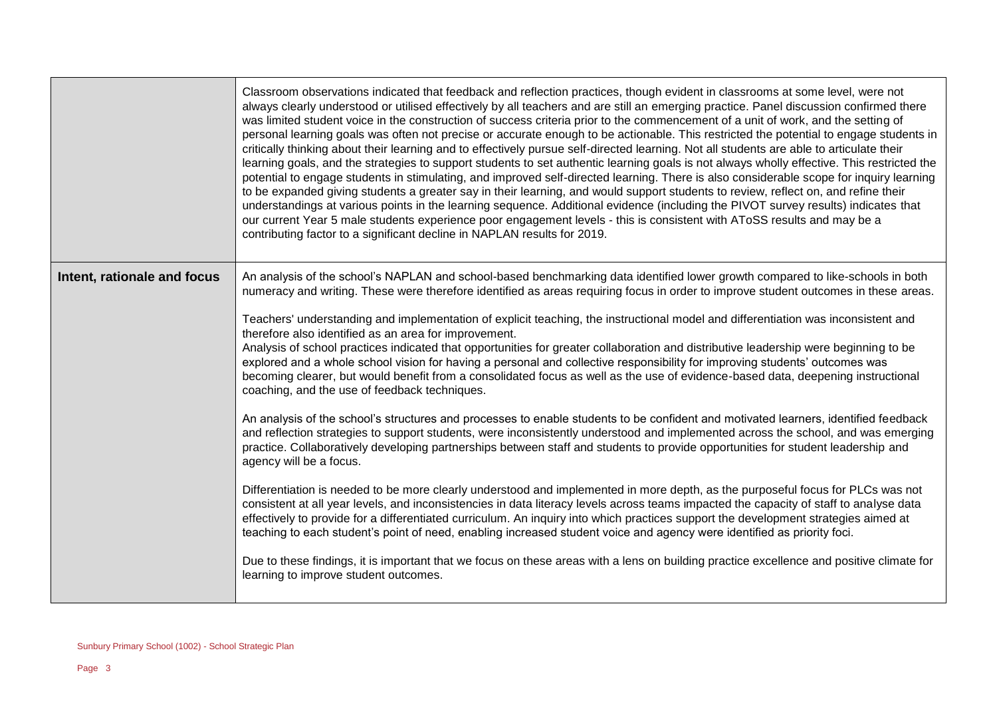|                             | Classroom observations indicated that feedback and reflection practices, though evident in classrooms at some level, were not<br>always clearly understood or utilised effectively by all teachers and are still an emerging practice. Panel discussion confirmed there<br>was limited student voice in the construction of success criteria prior to the commencement of a unit of work, and the setting of<br>personal learning goals was often not precise or accurate enough to be actionable. This restricted the potential to engage students in<br>critically thinking about their learning and to effectively pursue self-directed learning. Not all students are able to articulate their<br>learning goals, and the strategies to support students to set authentic learning goals is not always wholly effective. This restricted the<br>potential to engage students in stimulating, and improved self-directed learning. There is also considerable scope for inquiry learning<br>to be expanded giving students a greater say in their learning, and would support students to review, reflect on, and refine their<br>understandings at various points in the learning sequence. Additional evidence (including the PIVOT survey results) indicates that<br>our current Year 5 male students experience poor engagement levels - this is consistent with AToSS results and may be a<br>contributing factor to a significant decline in NAPLAN results for 2019. |
|-----------------------------|--------------------------------------------------------------------------------------------------------------------------------------------------------------------------------------------------------------------------------------------------------------------------------------------------------------------------------------------------------------------------------------------------------------------------------------------------------------------------------------------------------------------------------------------------------------------------------------------------------------------------------------------------------------------------------------------------------------------------------------------------------------------------------------------------------------------------------------------------------------------------------------------------------------------------------------------------------------------------------------------------------------------------------------------------------------------------------------------------------------------------------------------------------------------------------------------------------------------------------------------------------------------------------------------------------------------------------------------------------------------------------------------------------------------------------------------------------------------------------|
| Intent, rationale and focus | An analysis of the school's NAPLAN and school-based benchmarking data identified lower growth compared to like-schools in both<br>numeracy and writing. These were therefore identified as areas requiring focus in order to improve student outcomes in these areas.<br>Teachers' understanding and implementation of explicit teaching, the instructional model and differentiation was inconsistent and<br>therefore also identified as an area for improvement.<br>Analysis of school practices indicated that opportunities for greater collaboration and distributive leadership were beginning to be<br>explored and a whole school vision for having a personal and collective responsibility for improving students' outcomes was<br>becoming clearer, but would benefit from a consolidated focus as well as the use of evidence-based data, deepening instructional<br>coaching, and the use of feedback techniques.                                                                                                                                                                                                                                                                                                                                                                                                                                                                                                                                                |
|                             | An analysis of the school's structures and processes to enable students to be confident and motivated learners, identified feedback<br>and reflection strategies to support students, were inconsistently understood and implemented across the school, and was emerging<br>practice. Collaboratively developing partnerships between staff and students to provide opportunities for student leadership and<br>agency will be a focus.<br>Differentiation is needed to be more clearly understood and implemented in more depth, as the purposeful focus for PLCs was not<br>consistent at all year levels, and inconsistencies in data literacy levels across teams impacted the capacity of staff to analyse data<br>effectively to provide for a differentiated curriculum. An inquiry into which practices support the development strategies aimed at                                                                                                                                                                                                                                                                                                                                                                                                                                                                                                                                                                                                                    |
|                             | teaching to each student's point of need, enabling increased student voice and agency were identified as priority foci.<br>Due to these findings, it is important that we focus on these areas with a lens on building practice excellence and positive climate for<br>learning to improve student outcomes.                                                                                                                                                                                                                                                                                                                                                                                                                                                                                                                                                                                                                                                                                                                                                                                                                                                                                                                                                                                                                                                                                                                                                                   |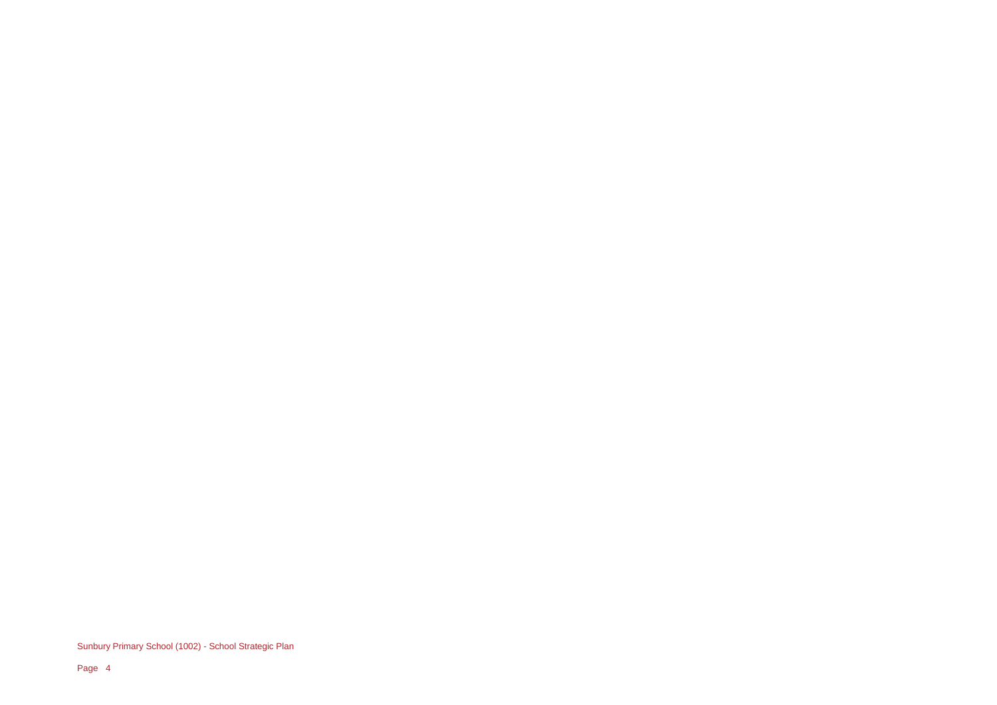Sunbury Primary School (1002) - School Strategic Plan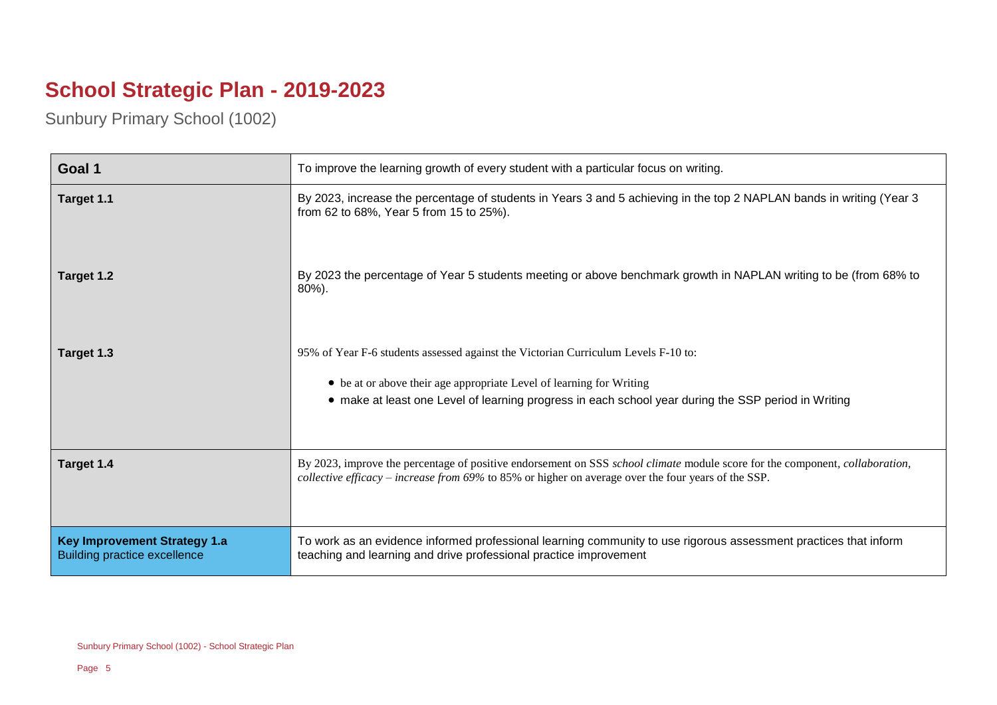## **School Strategic Plan - 2019-2023**

Sunbury Primary School (1002)

| Goal 1                                                                     | To improve the learning growth of every student with a particular focus on writing.                                                                                                                                                                               |
|----------------------------------------------------------------------------|-------------------------------------------------------------------------------------------------------------------------------------------------------------------------------------------------------------------------------------------------------------------|
| Target 1.1                                                                 | By 2023, increase the percentage of students in Years 3 and 5 achieving in the top 2 NAPLAN bands in writing (Year 3<br>from 62 to 68%, Year 5 from 15 to 25%).                                                                                                   |
| Target 1.2                                                                 | By 2023 the percentage of Year 5 students meeting or above benchmark growth in NAPLAN writing to be (from 68% to<br>$80\%$ ).                                                                                                                                     |
| Target 1.3                                                                 | 95% of Year F-6 students assessed against the Victorian Curriculum Levels F-10 to:<br>• be at or above their age appropriate Level of learning for Writing<br>• make at least one Level of learning progress in each school year during the SSP period in Writing |
| Target 1.4                                                                 | By 2023, improve the percentage of positive endorsement on SSS school climate module score for the component, collaboration,<br>collective efficacy – increase from 69% to 85% or higher on average over the four years of the SSP.                               |
| <b>Key Improvement Strategy 1.a</b><br><b>Building practice excellence</b> | To work as an evidence informed professional learning community to use rigorous assessment practices that inform<br>teaching and learning and drive professional practice improvement                                                                             |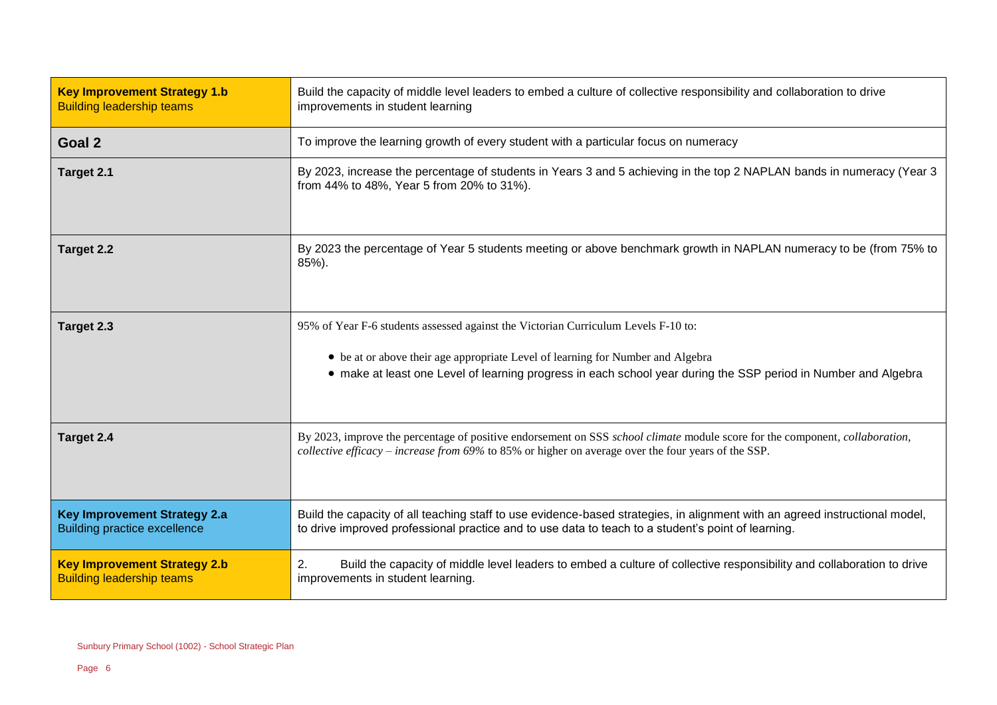| <b>Key Improvement Strategy 1.b</b><br><b>Building leadership teams</b>    | Build the capacity of middle level leaders to embed a culture of collective responsibility and collaboration to drive<br>improvements in student learning                                                                           |
|----------------------------------------------------------------------------|-------------------------------------------------------------------------------------------------------------------------------------------------------------------------------------------------------------------------------------|
| Goal 2                                                                     | To improve the learning growth of every student with a particular focus on numeracy                                                                                                                                                 |
| Target 2.1                                                                 | By 2023, increase the percentage of students in Years 3 and 5 achieving in the top 2 NAPLAN bands in numeracy (Year 3<br>from 44% to 48%, Year 5 from 20% to 31%).                                                                  |
| Target 2.2                                                                 | By 2023 the percentage of Year 5 students meeting or above benchmark growth in NAPLAN numeracy to be (from 75% to<br>$85%$ ).                                                                                                       |
| Target 2.3                                                                 | 95% of Year F-6 students assessed against the Victorian Curriculum Levels F-10 to:                                                                                                                                                  |
|                                                                            | • be at or above their age appropriate Level of learning for Number and Algebra                                                                                                                                                     |
|                                                                            | • make at least one Level of learning progress in each school year during the SSP period in Number and Algebra                                                                                                                      |
| Target 2.4                                                                 | By 2023, improve the percentage of positive endorsement on SSS school climate module score for the component, collaboration,<br>collective efficacy – increase from 69% to 85% or higher on average over the four years of the SSP. |
| <b>Key Improvement Strategy 2.a</b><br><b>Building practice excellence</b> | Build the capacity of all teaching staff to use evidence-based strategies, in alignment with an agreed instructional model,<br>to drive improved professional practice and to use data to teach to a student's point of learning.   |
| <b>Key Improvement Strategy 2.b</b><br><b>Building leadership teams</b>    | Build the capacity of middle level leaders to embed a culture of collective responsibility and collaboration to drive<br>2.<br>improvements in student learning.                                                                    |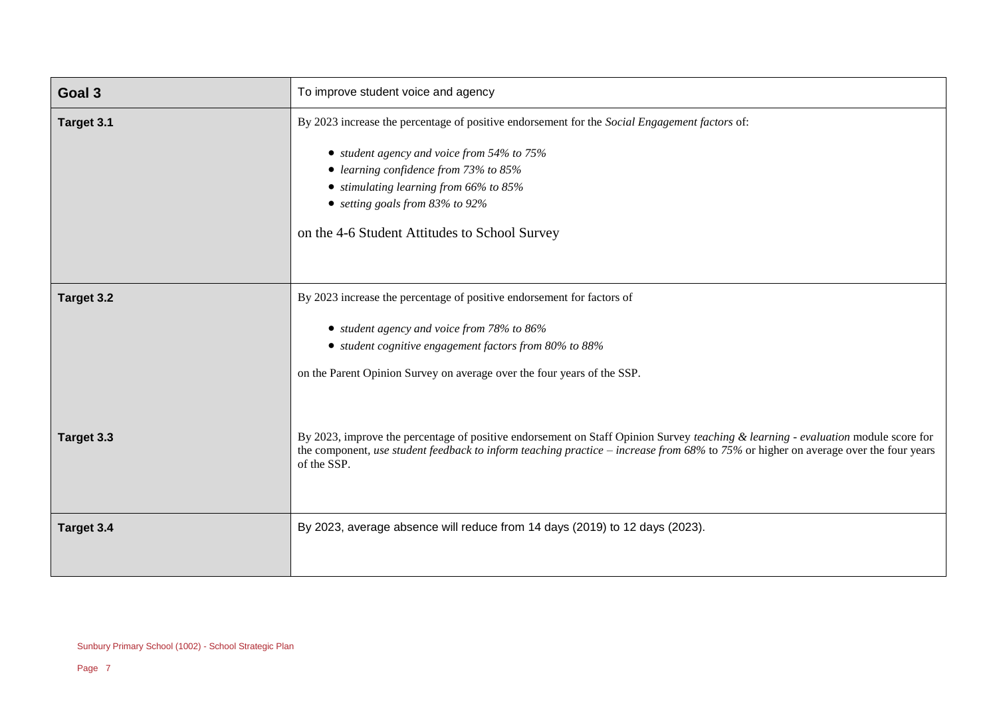| Goal 3     | To improve student voice and agency                                                                                                                                                                                                                                                                                        |
|------------|----------------------------------------------------------------------------------------------------------------------------------------------------------------------------------------------------------------------------------------------------------------------------------------------------------------------------|
| Target 3.1 | By 2023 increase the percentage of positive endorsement for the Social Engagement factors of:<br>• student agency and voice from 54% to 75%<br>• learning confidence from 73% to 85%<br>$\bullet$ stimulating learning from 66% to 85%<br>• setting goals from 83% to 92%<br>on the 4-6 Student Attitudes to School Survey |
| Target 3.2 | By 2023 increase the percentage of positive endorsement for factors of<br>• student agency and voice from 78% to 86%<br>• student cognitive engagement factors from 80% to 88%<br>on the Parent Opinion Survey on average over the four years of the SSP.                                                                  |
| Target 3.3 | By 2023, improve the percentage of positive endorsement on Staff Opinion Survey teaching & learning - evaluation module score for<br>the component, use student feedback to inform teaching practice – increase from $68\%$ to 75% or higher on average over the four years<br>of the SSP.                                 |
| Target 3.4 | By 2023, average absence will reduce from 14 days (2019) to 12 days (2023).                                                                                                                                                                                                                                                |